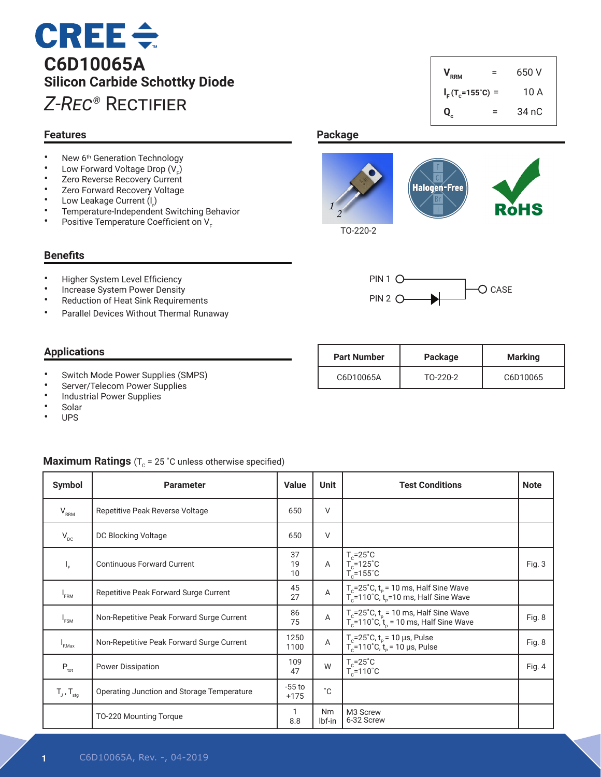## **CREE ÷ C6D10065A Silicon Carbide Schottky Diode** *Z-Rec®* Rectifier

#### **Features**

- New 6<sup>th</sup> Generation Technology
- Low Forward Voltage Drop  $(V_F)$
- Zero Reverse Recovery Current
- Zero Forward Recovery Voltage
- Low Leakage Current  $(I_r)$
- Temperature-Independent Switching Behavior
- Positive Temperature Coefficient on V<sub>F</sub>

#### **Benefits**

- Higher System Level Efficiency<br>• Increase System Power Depait
- Increase System Power Density
- Reduction of Heat Sink Requirements
- Parallel Devices Without Thermal Runaway

### **Applications**

- Switch Mode Power Supplies (SMPS)
- Server/Telecom Power Supplies
- Industrial Power Supplies
- **Solar**
- UPS

#### **Maximum Ratings** ( $T_c$  = 25 °C unless otherwise specified)

| Symbol                            | <b>Parameter</b>                           | <b>Value</b>       | <b>Unit</b>  | <b>Test Conditions</b>                                                                           | <b>Note</b> |
|-----------------------------------|--------------------------------------------|--------------------|--------------|--------------------------------------------------------------------------------------------------|-------------|
| $\mathsf{V}_{\mathsf{RRM}}$       | Repetitive Peak Reverse Voltage            | 650                | $\vee$       |                                                                                                  |             |
| $V_{\text{DC}}$                   | DC Blocking Voltage                        | 650                | $\vee$       |                                                                                                  |             |
| IF.                               | <b>Continuous Forward Current</b>          | 37<br>19<br>10     | $\mathsf{A}$ | $T_c = 25^\circ C$<br>$T_c$ =125°C<br>$T_c = 155^{\circ}C$                                       | Fig. 3      |
| $I_{FRM}$                         | Repetitive Peak Forward Surge Current      | 45<br>27           | A            | $T_c = 25^\circ C$ , $t_p = 10$ ms, Half Sine Wave<br>$T_c$ =110°C, $t_p$ =10 ms, Half Sine Wave |             |
| $I_{FSM}$                         | Non-Repetitive Peak Forward Surge Current  | 86<br>75           | $\mathsf A$  | $T_c$ =25°C, $t_p$ = 10 ms, Half Sine Wave<br>$T_c$ =110°C, $t_p$ = 10 ms, Half Sine Wave        | Fig. 8      |
| I <sub>EMax</sub>                 | Non-Repetitive Peak Forward Surge Current  | 1250<br>1100       | A            | $T_c = 25^\circ C$ , $t_p = 10 \mu s$ , Pulse<br>$T_c$ =110°C, $t_p$ = 10 µs, Pulse              | Fig. 8      |
| $P_{\rm tot}$                     | <b>Power Dissipation</b>                   | 109<br>47          | W            | $T_c = 25^\circ C$<br>$T_c = 110^{\circ}$ C                                                      | Fig. $4$    |
| $T_{\text{J}}$ , $T_{\text{stg}}$ | Operating Junction and Storage Temperature | $-55$ to<br>$+175$ | $^{\circ}$ C |                                                                                                  |             |
|                                   | TO-220 Mounting Torque                     | 8.8                | Nm<br>Ibf-in | M3 Screw<br>6-32 Screw                                                                           |             |

## $V_{RRM}$  = 650 V  $I_F(T_c=155^\circ C) = 10 \text{ A}$ **Qc**  $=$  34 nC

## **Package**





| <b>Part Number</b> | Package  | <b>Marking</b> |  |
|--------------------|----------|----------------|--|
| C6D10065A          | TO-220-2 | C6D10065       |  |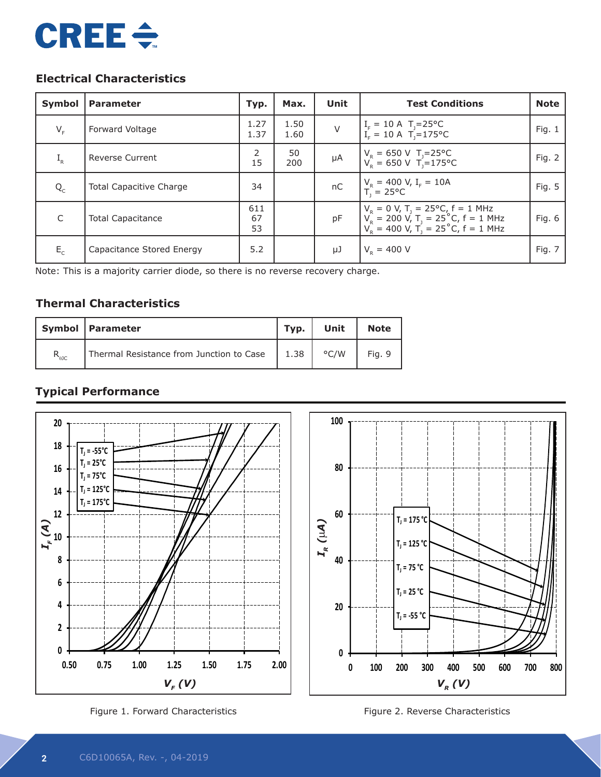# **CREE ÷**

## **Electrical Characteristics**

| <b>Symbol</b> | <b>Parameter</b>               | Typ.            | Max.         | Unit   | <b>Test Conditions</b>                                                                                                                              | <b>Note</b> |
|---------------|--------------------------------|-----------------|--------------|--------|-----------------------------------------------------------------------------------------------------------------------------------------------------|-------------|
| $V_F$         | Forward Voltage                | 1.27<br>1.37    | 1.50<br>1.60 | $\vee$ | $\begin{cases} I_{F} = 10 \text{ A} & T_{j} = 25^{\circ} \text{C} \\ I_{F} = 10 \text{ A} & T_{j} = 175^{\circ} \text{C} \end{cases}$               | Fig. $1$    |
| $I_R$         | <b>Reverse Current</b>         | 2<br>15         | 50<br>200    | μA     | $V_R = 650 \text{ V}$ T <sub>J</sub> =25 °C<br>$V_R = 650 \text{ V}$ T <sub>J</sub> =175 °C                                                         | Fig. 2      |
| $Q_{C}$       | <b>Total Capacitive Charge</b> | 34              |              | nC     | $V_R = 400 \text{ V}, I_F = 10 \text{ A}$<br>$T_1 = 25^{\circ} \text{C}$                                                                            | Fig. 5      |
| $\mathsf{C}$  | <b>Total Capacitance</b>       | 611<br>67<br>53 |              | pF     | $V_R = 0$ V, T <sub>J</sub> = 25°C, f = 1 MHz<br>$V_R = 200$ V, T <sub>J</sub> = 25°C, f = 1 MHz<br>$V_R = 400$ V, T <sub>J</sub> = 25°C, f = 1 MHz | Fig. 6      |
| $E_{\rm c}$   | Capacitance Stored Energy      | 5.2             |              | μJ     | $V_{\rm p} = 400 \text{ V}$                                                                                                                         | Fig. 7      |

Note: This is a majority carrier diode, so there is no reverse recovery charge.

## **Thermal Characteristics**

|                | Symbol   Parameter                       | Typ. | Unit          | <b>Note</b> |
|----------------|------------------------------------------|------|---------------|-------------|
| $R_{\theta$ JC | Thermal Resistance from Junction to Case | 1.38 | $\degree$ C/W | Fig. 9      |

## **Typical Performance**



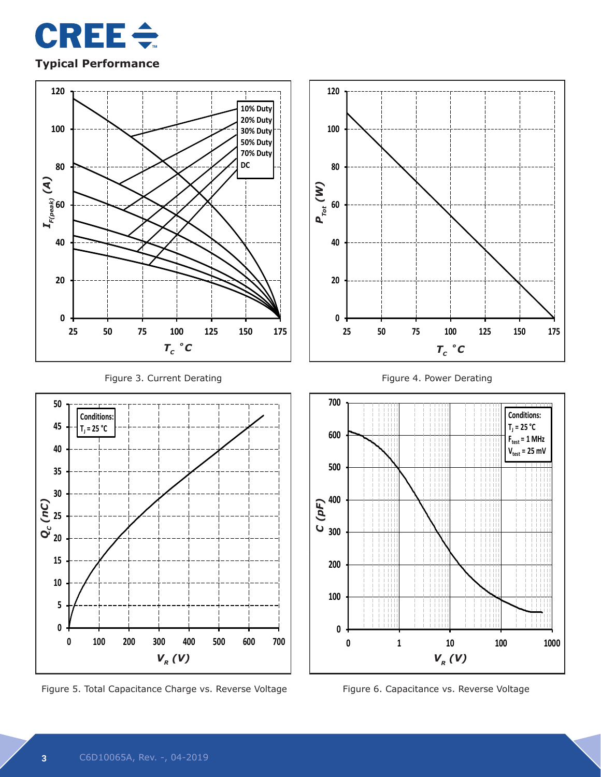

#### **Typical Performance**



Figure 5. Total Capacitance Charge vs. Reverse Voltage Figure 6. Capacitance vs. Reverse Voltage

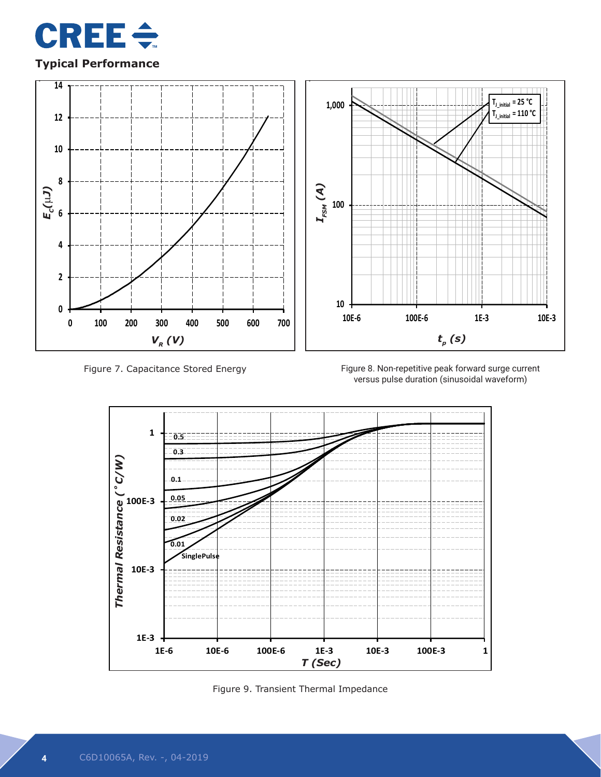

## **Typical Performance**



Figure 7. Capacitance Stored Energy

versus pulse duration (sinusoidal waveform)



Figure 9. Transient Thermal Impedance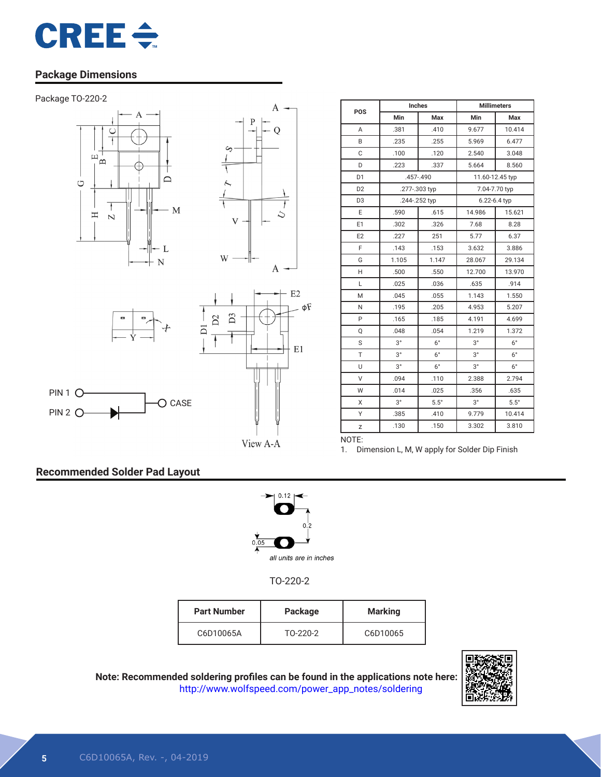

## **Package Dimensions**



PIN 1 O PIN 2 O-







O CASE



| POS            |             | Inches        | <b>Millimeters</b> |                 |  |
|----------------|-------------|---------------|--------------------|-----------------|--|
|                | Min         | Max           | Min                | Max             |  |
| A              | .381        | .410          | 9.677              | 10.414          |  |
| B              | .235        | .255          | 5.969              | 6.477           |  |
| C              | .100        | .120          | 2.540              | 3.048           |  |
| D              | .223        | .337          | 5.664              | 8.560           |  |
| D <sub>1</sub> |             | $.457 - .490$ |                    | 11.60-12.45 typ |  |
| D <sub>2</sub> |             | .277-.303 typ | 7.04-7.70 typ      |                 |  |
| D <sub>3</sub> |             | .244-.252 typ |                    | 6.22-6.4 typ    |  |
| E              | .590        | .615          | 14.986             | 15.621          |  |
| E1             | .302        | .326          | 7.68               | 8.28            |  |
| E <sub>2</sub> | .227        | 251           | 5.77               | 6.37            |  |
| F              | .143        | .153          | 3.632              | 3.886           |  |
| G              | 1.105       | 1.147         | 28.067             | 29.134          |  |
| H              | .500        | .550          | 12.700             | 13.970          |  |
| L              | .025        | .036          | .635               | .914            |  |
| M              | .045        | .055          | 1.143              | 1.550           |  |
| N              | .195        | .205          | 4.953              | 5.207           |  |
| P              | .165        | .185          | 4.191              | 4.699           |  |
| Q              | .048        | .054          | 1.219              | 1.372           |  |
| S              | $3^{\circ}$ | $6^{\circ}$   | $3^{\circ}$        | $6^{\circ}$     |  |
| T              | $3^{\circ}$ | $6^{\circ}$   | $3^{\circ}$        | $6^{\circ}$     |  |
| U              | $3^{\circ}$ | $6^{\circ}$   | $3^{\circ}$        | $6^{\circ}$     |  |
| V              | .094        | .110          | 2.388              | 2.794           |  |
| W              | .014        | .025          | .356               | .635            |  |
| X              | $3^{\circ}$ | $5.5^\circ$   | $3^{\circ}$        | $5.5^\circ$     |  |
| Υ              | .385        | .410          | 9.779              | 10.414          |  |
| Z              | .130        | .150          | 3.302              | 3.810           |  |
| NOTE:          |             |               |                    |                 |  |

View A-A

1. Dimension L, M, W apply for Solder Dip Finish

## **Recommended Solder Pad Layout**



TO-220-2

| <b>Part Number</b> | Package  | <b>Marking</b> |
|--------------------|----------|----------------|
| C6D10065A          | TO-220-2 | C6D10065       |



**Note: Recommended soldering profiles can be found in the applications note here:** http://www.wolfspeed.com/power\_app\_notes/soldering